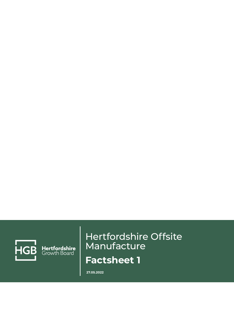

Hertfordshire<br>Growth Board

## Hertfordshire Offsite Manufacture **Factsheet 1**

**27.05.2022**